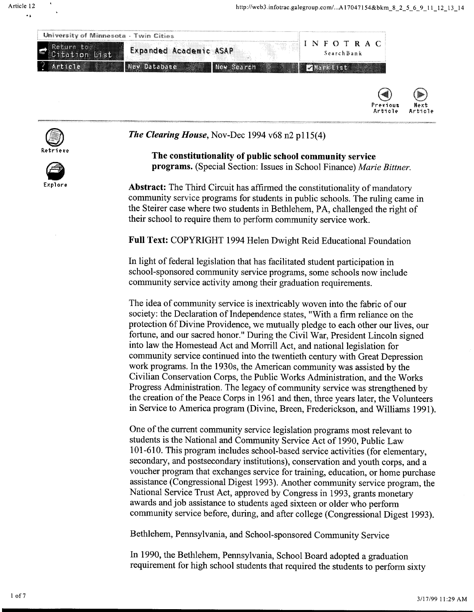







*The Clearing House,* Nov-Dec 1994 v68 n2 p115(4)

**The constitutionality of public school community service programs.** (Special Section: Issues in School Finance) *Marie Bittner.* 

**Abstract:** The Third Circuit has affirmed the constitutionality of mandatory community service programs for students in public schools. The ruling came in the Steirer case where two students in Bethlehem, PA, challenged the right of their school to require them to perform community service work.

**Full Text:** COPYRIGHT 1994 Helen Dwight Reid Educational Foundation

In light of federal legislation that has facilitated student participation in school-sponsored community service programs, some schools now include community service activity among their graduation requirements.

The idea of community service is inextricably woven into the fabric of our society: the Declaration of Independence states, "With a firm reliance on the protection 6fDivine Providence, we mutually pledge to each other our lives, our fortune, and our sacred honor." During the Civil War, President Lincoln signed into law the Homestead Act and Morrill Act, and national legislation for community service continued into the twentieth century with Great Depression work programs. In the 1930s, the American community was assisted by the Civilian Conservation Corps, the Public Works Administration, and the Works Progress Administration. The legacy of community service was strengthened by the creation of the Peace Corps in 1961 and then, three years later, the Volunteers in Service to America program (Divine, Breen, Frederickson, and Williams 1991).

One of the current community service legislation programs most relevant to students is the National and Community Service Act of 1990, Public Law 101-610. This program includes school-based service activities (for elementary, secondary, and postsecondary institutions), conservation and youth corps, and a voucher program that exchanges service for training, education, or home purchase assistance (Congressional Digest 1993). Another community service program, the National Service Trust Act, approved by Congress in 1993, grants monetary awards and job assistance to students aged sixteen or older who perform community service before, during, and after college (Congressional Digest 1993).

Bethlehem, Pennsylvania, and School-sponsored Community Service

In 1990, the Bethlehem, Pennsylvania, School Board adopted a graduation requirement for high school students that required the students to perform sixty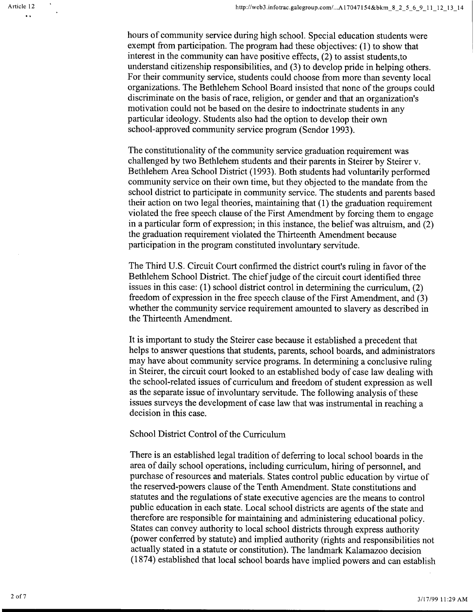hours of community service during high school. Special education students were exempt from participation. The program had these objectives: (1) to show that interest in the community can have positive effects, (2) to assist students,to understand citizenship responsibilities, and (3) to develop pride in helping others. For their community service, students could choose from more than seventy local organizations. The Bethlehem School Board insisted that none of the groups could discriminate on the basis of race, religion, or gender and that an organization's motivation could not be based on the desire to indoctrinate students in any particular ideology. Students also had the option to develop their own school-approved community service program (Sendor 1993).

The constitutionality of the community service graduation requirement was challenged by two Bethlehem students and their parents in Steirer by Steirer v. Bethlehem Area School District (1993). Both students had voluntarily performed community service on their own time, but they objected to the mandate from the school district to participate in community service. The students and parents based their action on two legal theories, maintaining that (1) the graduation requirement violated the free speech clause of the First Amendment by forcing them to engage in a particular form of expression; in this instance, the belief was altruism, and (2) the graduation requirement violated the Thirteenth Amendment because participation in the program constituted involuntary servitude.

The Third U.S. Circuit Court confirmed the district court's ruling in favor of the Bethlehem School District. The chief judge of the circuit court identified three issues in this case: (1) school district control in determining the curriculum, (2) freedom of expression in the free speech clause of the First Amendment, and (3) whether the community service requirement amounted to slavery as described in the Thirteenth Amendment.

It is important to study the Steirer case because it established a precedent that helps to answer questions that students, parents, school boards, and administrators may have about community service programs. In determining a conclusive ruling in Steirer, the circuit court looked to an established body of case law dealing with the school-related issues of curriculum and freedom of student expression as well as the separate issue of involuntary servitude. The following analysis of these issues surveys the development of case law that was instrumental in reaching a decision in this case.

## School District Control of the Curriculum

There is an established legal tradition of deferring to local school boards in the area of daily school operations, including curriculum, hiring of personnel, and purchase of resources and materials. States control public education by virtue of the reserved-powers clause of the Tenth Amendment. State constitutions and statutes and the regulations of state executive agencies are the means to control public education in each state. Local school districts are agents of the state and therefore are responsible for maintaining and administering educational policy. States can convey authority to local school districts through express authority (power conferred by statute) and implied authority (rights and responsibilities not actually stated in a statute or constitution). The landmark Kalamazoo decision (1874) established that local school boards have implied powers and can establish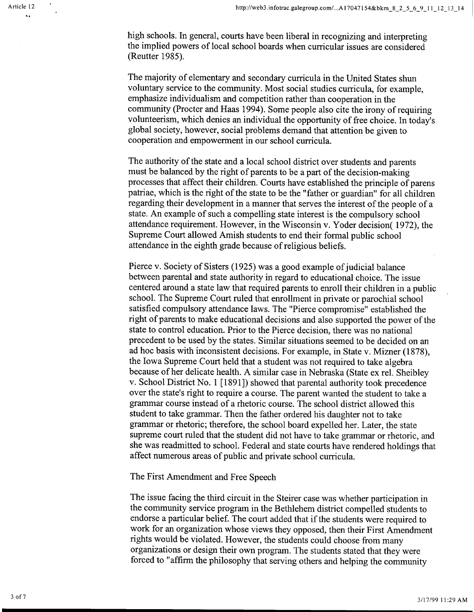high schools. In general, courts have been liberal in recognizing and interpreting the implied powers of local school boards when curricular issues are considered (Reutter 1985).

The majority of elementary and secondary curricula in the United States shun voluntary service to the community. Most social studies curricula, for example, emphasize individualism and competition rather than cooperation in the community (Procter and Haas 1994). Some people also cite the irony of requiring volunteerism, which denies an individual the opportunity of free choice. In today's <sup>g</sup>lobal society, however, social problems demand that attention be given to cooperation and empowerment in our school curricula.

The authority of the state and a local school district over students and parents must be balanced by the right of parents to be a part of the decision-making processes that affect their children. Courts have established the principle of parens patriae, which is the right of the state to be the "father or guardian" for all children regarding their development in a manner that serves the interest of the people of <sup>a</sup> state. An example of such a compelling state interest is the compulsory school attendance requirement. However, in the Wisconsin v. Yoder decision( 1972), the Supreme Court allowed Amish students to end their formal public school attendance in the eighth grade because of religious beliefs.

Pierce v. Society of Sisters (1925) was a good example of judicial balance between parental and state authority in regard to educational choice. The issue centered around a state law that required parents to enroll their children in a public school. The Supreme Court ruled that enrollment in private or parochial school satisfied compulsory attendance laws. The "Pierce compromise" established the right of parents to make educational decisions and also supported the power of the state to control education. Prior to the Pierce decision, there was no national precedent to be used by the states. Similar situations seemed to be decided on an ad hoc basis with inconsistent decisions. For example, in State v. Mizner (1878), the Iowa Supreme Court held that a student was not required to take algebra because of her delicate health. A similar case in Nebraska (State ex rei. Sheibley v. School District No. 1 [1891]) showed that parental authority took precedence over the state's right to require a course. The parent wanted the student to take a grammar course instead of a rhetoric course. The school district allowed this student to take grammar. Then the father ordered his daughter not to take grammar or rhetoric; therefore, the school board expelled her. Later, the state supreme court ruled that the student did not have to take grammar or rhetoric, and she was readmitted to school. Federal and state courts have rendered holdings that affect numerous areas of public and private school curricula.

The First Amendment and Free Speech

The issue facing the third circuit in the Steirer case was whether participation in the community service program in the Bethlehem district compelled students to endorse a particular belief. The court added that if the students were required to work for an organization whose views they opposed, then their First Amendment rights would be violated. However, the students could choose from many organizations or design their own program. The students stated that they were forced to "affirm the philosophy that serving others and helping the community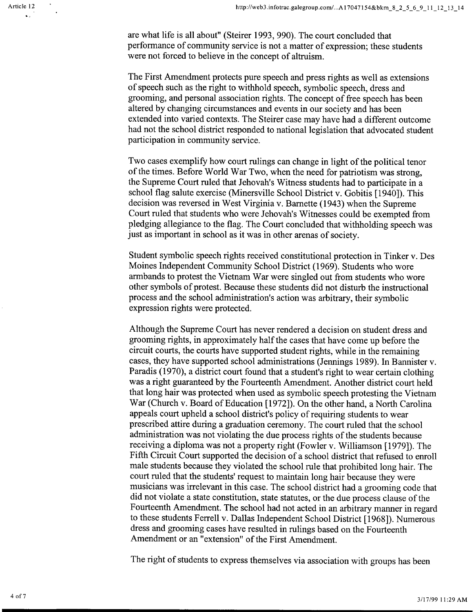are what life is all about" (Steirer 1993, 990). The court concluded that performance of community service is not a matter of expression; these students were not forced to believe in the concept of altruism.

The First Amendment protects pure speech and press rights as well as extensions of speech such as the right to withhold speech, symbolic speech, dress and grooming, and personal association rights. The concept of free speech has been altered by changing circumstances and events in our society and has been extended into varied contexts. The Steirer case may have had a different outcome had not the school district responded to national legislation that advocated student participation in community service.

Two cases exemplify how court rulings can change in light of the political tenor of the times. Before World War Two, when the need for patriotism was strong, the Supreme Court ruled that Jehovah's Witness students had to participate in a school flag salute exercise (Minersville School District v. Gobitis [1940]). This decision was reversed in West Virginia v. Barnette (1943) when the Supreme Court ruled that students who were Jehovah's Witnesses could be exempted from <sup>p</sup>ledging allegiance to the flag. The Court concluded that withholding speech was just as important in school as it was in other arenas of society.

Student symbolic speech rights received constitutional protection in Tinker v. Des Moines Independent Community School District (1969). Students who wore armbands to protest the Vietnam War were singled out from students who wore other symbols of protest. Because these students did not disturb the instructional process and the school administration's action was arbitrary, their symbolic expression rights were protected.

Although the Supreme Court has never rendered a decision on student dress and grooming rights, in approximately half the cases that have come up before the circuit courts, the courts have supported student rights, while in the remaining cases, they have supported school administrations (Jennings 1989). In Bannister v. Paradis (1970), a district court found that a student's right to wear certain clothing was a right guaranteed by the Fourteenth Amendment. Another district court held that long hair was protected when used as symbolic speech protesting the Vietnam War (Church v. Board of Education [1972]). On the other hand, a North Carolina appeals court upheld a school district's policy of requiring students to wear prescribed attire during a graduation ceremony. The court ruled that the school administration was not violating the due process rights of the students because receiving a diploma was not a property right (Fowler v. Williamson [1979]). The Fifth Circuit Court supported the decision of a school district that refused to enroll male students because they violated the school rule that prohibited long hair. The court ruled that the students' request to maintain long hair because they were musicians was irrelevant in this case. The school district had a grooming code that did not violate a state constitution, state statutes, or the due process clause of the Fourteenth Amendment. The school had not acted in an arbitrary manner in regard to these students Ferrell v. Dallas Independent School District [1968]). Numerous dress and grooming cases have resulted in rulings based on the Fourteenth Amendment or an "extension" of the First Amendment.

The right of students to express themselves via association with groups has been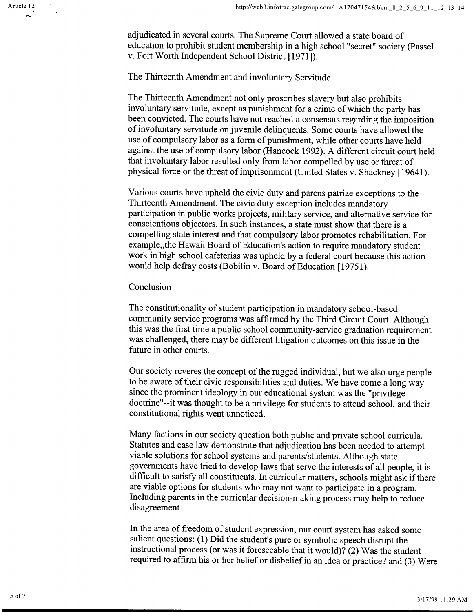Article 12 ...

> adjudicated in several courts. The Supreme Court allowed a state board of education to prohibit student membership in a high school "secret" society (Passel v. Fort Worth Independent School District [1971]).

## The Thirteenth Amendment and involuntary Servitude

The Thirteenth Amendment not only proscribes slavery but also prohibits involuntary servitude, except as punishment for a crime of which the party has been convicted. The courts have not reached a consensus regarding the imposition of involuntary servitude on juvenile delinquents. Some courts have allowed the use of compulsory labor as a form of punishment, while other courts have held against the use of compulsory labor (Hancock 1992). A different circuit court held that involuntary labor resulted only from labor compelled by use or threat of <sup>p</sup>hysical force or the threat of imprisonment (United States v. Shackney [19641).

Various courts have upheld the civic duty and parens patriae exceptions to the Thirteenth Amendment. The civic duty exception includes mandatory participation in public works projects, military service, and alternative service for conscientious objectors. In such instances, a state must show that there is a compelling state interest and that compulsory labor promotes rehabilitation. For example,, the Hawaii Board of Education's action to require mandatory student work in high school cafeterias was upheld by a federal court because this action would help defray costs (Bobilin v. Board of Education [19751).

## Conclusion

The constitutionality of student participation in mandatory school-based community service programs was affirmed by the Third Circuit Court. Although this was the first time a public school community-service graduation requirement was challenged, there may be different litigation outcomes on this issue in the future in other courts.

Our society reveres the concept of the rugged individual, but we also urge people to be aware of their civic responsibilities and duties. We have come a long way since the prominent ideology in our educational system was the "privilege doctrine"--it was thought to be a privilege for students to attend school, and their constitutional rights went unnoticed.

Many factions in our society question both public and private school curricula. Statutes and case law demonstrate that adjudication has been needed to attempt viable solutions for school systems and parents/students. Although state governments have tried to develop laws that serve the interests of all people, it is difficult to satisfy all constituents. In curricular matters, schools might ask if there are viable options for students who may not want to participate in a program. Including parents in the curricular decision-making process may help to reduce disagreement.

In the area of freedom of student expression, our court system has asked some salient questions: (1) Did the student's pure or symbolic speech disrupt the instructional process (or was it foreseeable that it would)? (2) Was the student required to affirm his or her belief or disbelief in an idea or practice? and (3) Were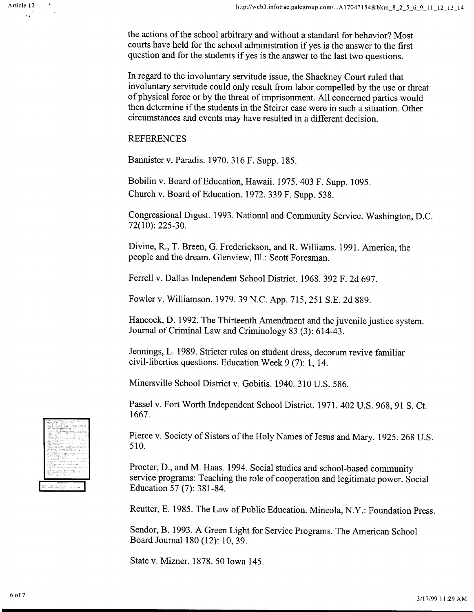the actions of the school arbitrary and without a standard for behavior? Most courts have held for the school administration if yes is the answer to the first question and for the students if yes is the answer to the last two questions.

In regard to the involuntary servitude issue, the Shackney Court ruled that involuntary servitude could only result from labor compelled by the use or threat of physical force or by the threat of imprisonment. All concerned parties would then determine if the students in the Steirer case were in such a situation. Other circumstances and events may have resulted in a different decision.

## **REFERENCES**

Bannister v. Paradis. 1970. 316 F. Supp. 185.

Bobilin v. Board of Education, Hawaii. 1975. 403 F. Supp. 1095. Church v. Board of Education. 1972. 339 F. Supp. 538.

Congressional Digest. 1993. National and Community Service. Washington, D.C.  $72(10): 225-30.$ 

Divine, R., T. Breen, G. Frederickson, and R. Williams. 1991. America, the people and the dream. Glenview, Ill.: Scott Foresman.

Ferrell v. Dallas Independent School District. 1968. 392 F. 2d 697.

Fowler v. Williamson. 1979. 39 N.C. App. 715, 251 S.E. 2d 889.

Hancock, D. 1992. The Thirteenth Amendment and the juvenile justice system. Journal of Criminal Law and Criminology 83 (3): 614-43.

Jennings, L. 1989. Stricter rules on student dress, decorum revive familiar civil-liberties questions. Education Week 9 (7): 1, 14.

Minersville School District v. Gobitis. 1940. 310 U.S. 586.

Passel v. Fort Worth Independent School District. 1971. 402 U.S. 968, 91 S. Ct. 1667.

Pierce v. Society of Sisters of the Holy Names of Jesus and Mary. 1925. 268 U.S. 510.

Procter, D., and M. Haas. 1994. Social studies and school-based community service programs: Teaching the role of cooperation and legitimate power. Social Education 57 (7): 381-84.

Reutter, E. 1985. The Law of Public Education. Mineola, N.Y.: Foundation Press.

Sendor, B. 1993. A Green Light for Service Programs. The American School Board Journal 180 (12): 10, 39.

State v. Mizner. 1878. 50 Iowa 145.